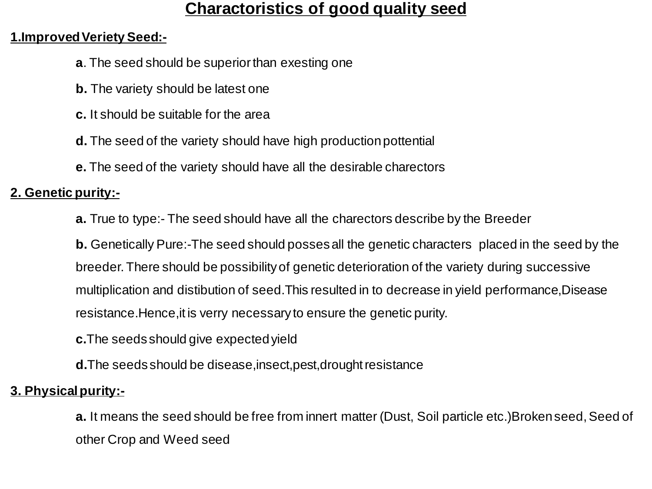# **Charactoristics of good quality seed**

#### **1.Improved Veriety Seed:-**

- **a**. The seed should be superior than exesting one
- **b.** The variety should be latest one
- **c.** It should be suitable for the area
- **d.** The seed of the variety should have high production pottential
- **e.** The seed of the variety should have all the desirable charectors

# **2. Genetic purity:-**

**a.** True to type:- The seed should have all the charectors describe by the Breeder

**b.** Genetically Pure:-The seed should posses all the genetic characters placed in the seed by the breeder. There should be possibility of genetic deterioration of the variety during successive multiplication and distibution of seed.This resulted in to decrease in yield performance,Disease resistance.Hence,it is verry necessary to ensure the genetic purity.

**c.**The seeds should give expected yield

**d.**The seeds should be disease,insect,pest,drought resistance

# **3. Physical purity:-**

**a.** It means the seed should be free from innert matter (Dust, Soil particle etc.)Broken seed, Seed of other Crop and Weed seed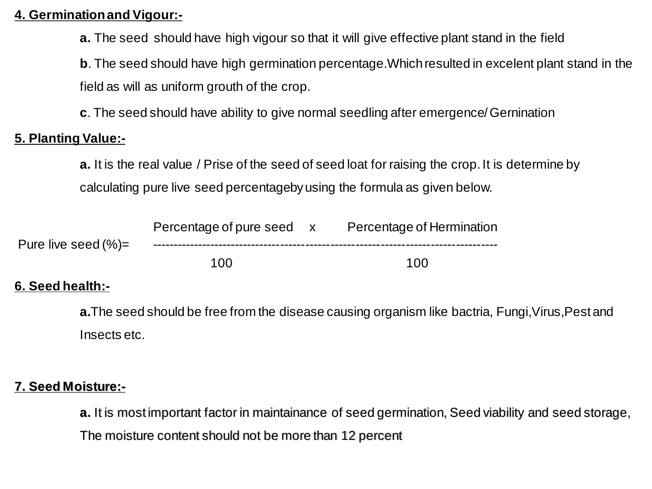#### **4. Germination and Vigour:-**

**a.** The seed should have high vigour so that it will give effective plant stand in the field

**b**. The seed should have high germination percentage. Which resulted in excelent plant stand in the field as will as uniform grouth of the crop.

**c**. The seed should have ability to give normal seedling after emergence/ Gernination

## **5. Planting Value:-**

**a.** It is the real value / Prise of the seed of seed loat for raising the crop. It is determine by calculating pure live seed percentageby using the formula as given below.

|                        | Percentage of pure seed x | Percentage of Hermination |
|------------------------|---------------------------|---------------------------|
| Pure live seed $(\%)=$ |                           |                           |
|                        | 100                       | 100                       |

## **6. Seed health:-**

**a.**The seed should be free from the disease causing organism like bactria, Fungi,Virus,Pest and Insects etc.

### **7. Seed Moisture:-**

**a.** It is most important factor in maintainance of seed germination, Seed viability and seed storage, The moisture content should not be more than 12 percent